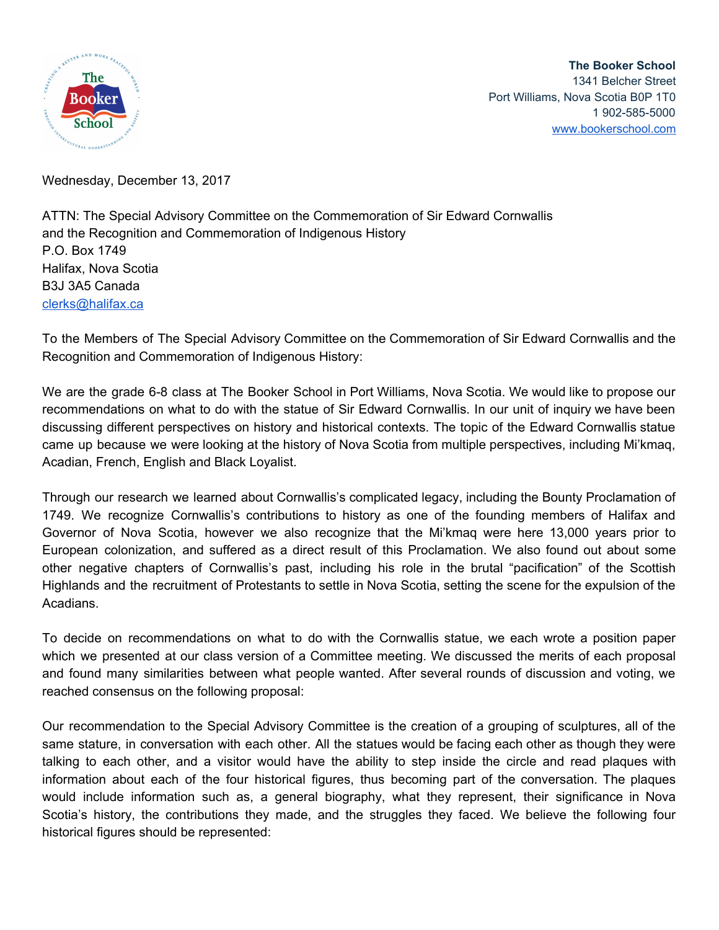

**The Booker School** 1341 Belcher Street Port Williams, Nova Scotia B0P 1T0 1 902-585-5000 [www.bookerschool.com](http://www.bookerschool.com/)

Wednesday, December 13, 2017

ATTN: The Special Advisory Committee on the Commemoration of Sir Edward Cornwallis and the Recognition and Commemoration of Indigenous History P.O. Box 1749 Halifax, Nova Scotia B3J 3A5 Canada [clerks@halifax.ca](mailto:clerks@halifax.ca)

To the Members of The Special Advisory Committee on the Commemoration of Sir Edward Cornwallis and the Recognition and Commemoration of Indigenous History:

We are the grade 6-8 class at The Booker School in Port Williams, Nova Scotia. We would like to propose our recommendations on what to do with the statue of Sir Edward Cornwallis. In our unit of inquiry we have been discussing different perspectives on history and historical contexts. The topic of the Edward Cornwallis statue came up because we were looking at the history of Nova Scotia from multiple perspectives, including Mi'kmaq, Acadian, French, English and Black Loyalist.

Through our research we learned about Cornwallis's complicated legacy, including the Bounty Proclamation of 1749. We recognize Cornwallis's contributions to history as one of the founding members of Halifax and Governor of Nova Scotia, however we also recognize that the Mi'kmaq were here 13,000 years prior to European colonization, and suffered as a direct result of this Proclamation. We also found out about some other negative chapters of Cornwallis's past, including his role in the brutal "pacification" of the Scottish Highlands and the recruitment of Protestants to settle in Nova Scotia, setting the scene for the expulsion of the Acadians.

To decide on recommendations on what to do with the Cornwallis statue, we each wrote a position paper which we presented at our class version of a Committee meeting. We discussed the merits of each proposal and found many similarities between what people wanted. After several rounds of discussion and voting, we reached consensus on the following proposal:

Our recommendation to the Special Advisory Committee is the creation of a grouping of sculptures, all of the same stature, in conversation with each other. All the statues would be facing each other as though they were talking to each other, and a visitor would have the ability to step inside the circle and read plaques with information about each of the four historical figures, thus becoming part of the conversation. The plaques would include information such as, a general biography, what they represent, their significance in Nova Scotia's history, the contributions they made, and the struggles they faced. We believe the following four historical figures should be represented: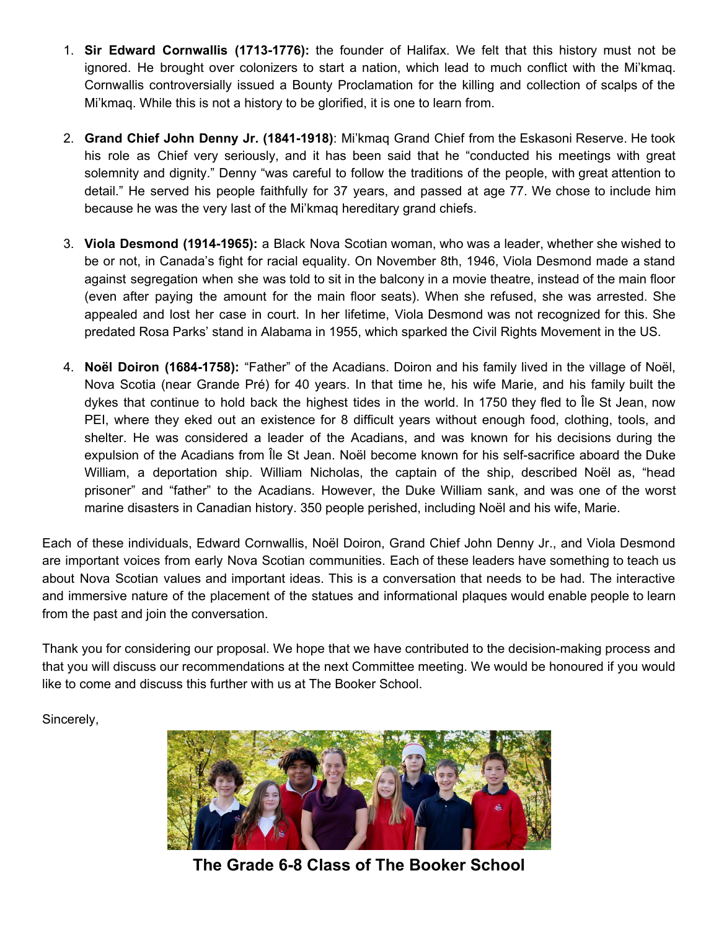- 1. **Sir Edward Cornwallis (1713-1776):** the founder of Halifax. We felt that this history must not be ignored. He brought over colonizers to start a nation, which lead to much conflict with the Mi'kmaq. Cornwallis controversially issued a Bounty Proclamation for the killing and collection of scalps of the Mi'kmaq. While this is not a history to be glorified, it is one to learn from.
- 2. **Grand Chief John Denny Jr. (1841-1918)**: Mi'kmaq Grand Chief from the Eskasoni Reserve. He took his role as Chief very seriously, and it has been said that he "conducted his meetings with great solemnity and dignity." Denny "was careful to follow the traditions of the people, with great attention to detail." He served his people faithfully for 37 years, and passed at age 77. We chose to include him because he was the very last of the Mi'kmaq hereditary grand chiefs.
- 3. **Viola Desmond (1914-1965):** a Black Nova Scotian woman, who was a leader, whether she wished to be or not, in Canada's fight for racial equality. On November 8th, 1946, Viola Desmond made a stand against segregation when she was told to sit in the balcony in a movie theatre, instead of the main floor (even after paying the amount for the main floor seats). When she refused, she was arrested. She appealed and lost her case in court. In her lifetime, Viola Desmond was not recognized for this. She predated Rosa Parks' stand in Alabama in 1955, which sparked the Civil Rights Movement in the US.
- 4. **Noël Doiron (1684-1758):** "Father" of the Acadians. Doiron and his family lived in the village of Noël, Nova Scotia (near Grande Pré) for 40 years. In that time he, his wife Marie, and his family built the dykes that continue to hold back the highest tides in the world. In 1750 they fled to Île St Jean, now PEI, where they eked out an existence for 8 difficult years without enough food, clothing, tools, and shelter. He was considered a leader of the Acadians, and was known for his decisions during the expulsion of the Acadians from Île St Jean. Noël become known for his self-sacrifice aboard the Duke William, a deportation ship. William Nicholas, the captain of the ship, described Noël as, "head prisoner" and "father" to the Acadians. However, the Duke William sank, and was one of the worst marine disasters in Canadian history. 350 people perished, including Noël and his wife, Marie.

Each of these individuals, Edward Cornwallis, Noël Doiron, Grand Chief John Denny Jr., and Viola Desmond are important voices from early Nova Scotian communities. Each of these leaders have something to teach us about Nova Scotian values and important ideas. This is a conversation that needs to be had. The interactive and immersive nature of the placement of the statues and informational plaques would enable people to learn from the past and join the conversation.

Thank you for considering our proposal. We hope that we have contributed to the decision-making process and that you will discuss our recommendations at the next Committee meeting. We would be honoured if you would like to come and discuss this further with us at The Booker School.

Sincerely,



**The Grade 6-8 Class of The Booker School**